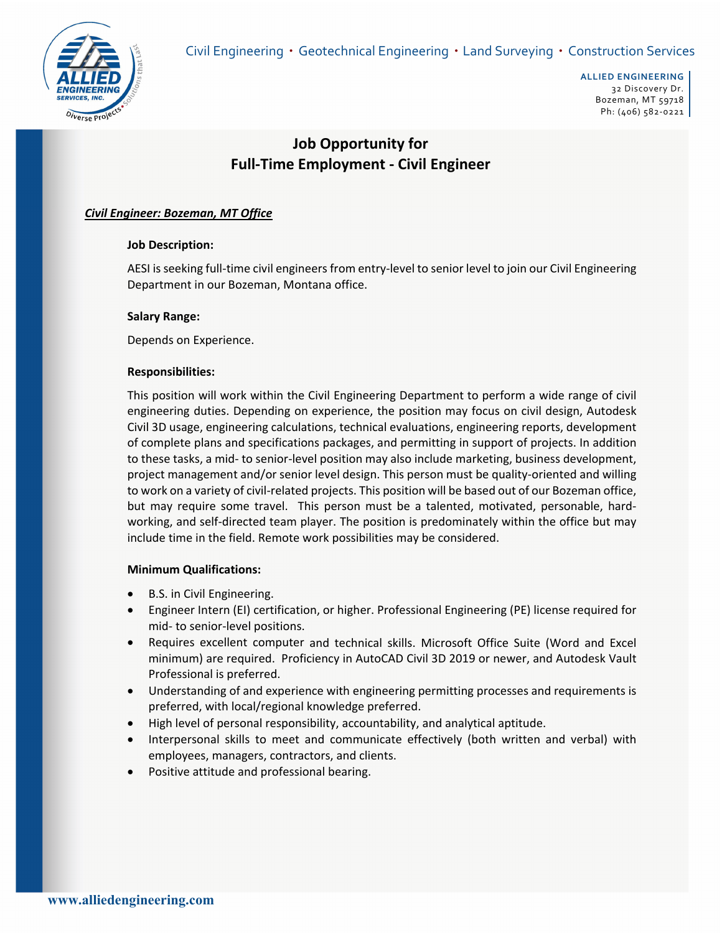Civil Engineering • Geotechnical Engineering • Land Surveying • Construction Services



# **Job Opportunity for Full‐Time Employment ‐ Civil Engineer**

## *Civil Engineer: Bozeman, MT Office*

### **Job Description:**

AESI is seeking full-time civil engineers from entry-level to senior level to join our Civil Engineering Department in our Bozeman, Montana office.

### **Salary Range:**

Depends on Experience.

### **Responsibilities:**

This position will work within the Civil Engineering Department to perform a wide range of civil engineering duties. Depending on experience, the position may focus on civil design, Autodesk Civil 3D usage, engineering calculations, technical evaluations, engineering reports, development of complete plans and specifications packages, and permitting in support of projects. In addition to these tasks, a mid- to senior-level position may also include marketing, business development, project management and/or senior level design. This person must be quality-oriented and willing to work on a variety of civil‐related projects. This position will be based out of our Bozeman office, but may require some travel. This person must be a talented, motivated, personable, hardworking, and self‐directed team player. The position is predominately within the office but may include time in the field. Remote work possibilities may be considered.

#### **Minimum Qualifications:**

- B.S. in Civil Engineering.
- Engineer Intern (EI) certification, or higher. Professional Engineering (PE) license required for mid‐ to senior‐level positions.
- Requires excellent computer and technical skills. Microsoft Office Suite (Word and Excel minimum) are required. Proficiency in AutoCAD Civil 3D 2019 or newer, and Autodesk Vault Professional is preferred.
- Understanding of and experience with engineering permitting processes and requirements is preferred, with local/regional knowledge preferred.
- High level of personal responsibility, accountability, and analytical aptitude.
- Interpersonal skills to meet and communicate effectively (both written and verbal) with employees, managers, contractors, and clients.
- Positive attitude and professional bearing.